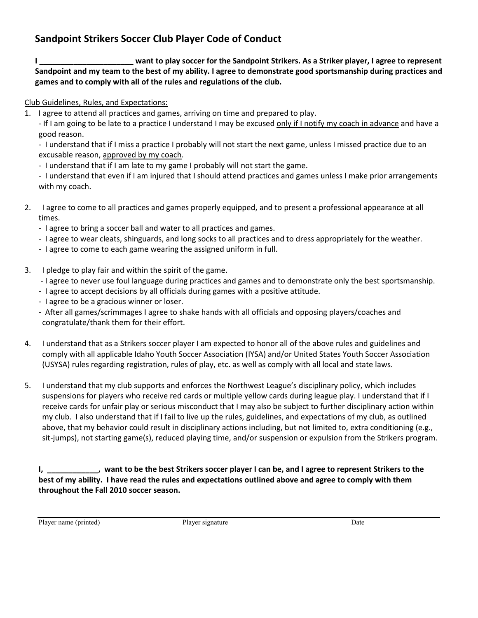## **Sandpoint Strikers Soccer Club Player Code of Conduct**

**I \_\_\_\_\_\_\_\_\_\_\_\_\_\_\_\_\_\_\_\_\_\_ want to play soccer for the Sandpoint Strikers. As a Striker player, I agree to represent Sandpoint and my team to the best of my ability. I agree to demonstrate good sportsmanship during practices and games and to comply with all of the rules and regulations of the club.** 

Club Guidelines, Rules, and Expectations:

1. I agree to attend all practices and games, arriving on time and prepared to play.

- If I am going to be late to a practice I understand I may be excused only if I notify my coach in advance and have a good reason.

- I understand that if I miss a practice I probably will not start the next game, unless I missed practice due to an excusable reason, approved by my coach.

- I understand that if I am late to my game I probably will not start the game.
- I understand that even if I am injured that I should attend practices and games unless I make prior arrangements with my coach.
- 2. I agree to come to all practices and games properly equipped, and to present a professional appearance at all times.
	- I agree to bring a soccer ball and water to all practices and games.
	- I agree to wear cleats, shinguards, and long socks to all practices and to dress appropriately for the weather.
	- I agree to come to each game wearing the assigned uniform in full.
- 3. I pledge to play fair and within the spirit of the game.
	- I agree to never use foul language during practices and games and to demonstrate only the best sportsmanship.
	- I agree to accept decisions by all officials during games with a positive attitude.
	- I agree to be a gracious winner or loser.
	- After all games/scrimmages I agree to shake hands with all officials and opposing players/coaches and congratulate/thank them for their effort.
- 4. I understand that as a Strikers soccer player I am expected to honor all of the above rules and guidelines and comply with all applicable Idaho Youth Soccer Association (IYSA) and/or United States Youth Soccer Association (USYSA) rules regarding registration, rules of play, etc. as well as comply with all local and state laws.
- 5. I understand that my club supports and enforces the Northwest League's disciplinary policy, which includes suspensions for players who receive red cards or multiple yellow cards during league play. I understand that if I receive cards for unfair play or serious misconduct that I may also be subject to further disciplinary action within my club. I also understand that if I fail to live up the rules, guidelines, and expectations of my club, as outlined above, that my behavior could result in disciplinary actions including, but not limited to, extra conditioning (e.g., sit-jumps), not starting game(s), reduced playing time, and/or suspension or expulsion from the Strikers program.

**I, \_\_\_\_\_\_\_\_\_\_\_\_, want to be the best Strikers soccer player I can be, and I agree to represent Strikers to the best of my ability. I have read the rules and expectations outlined above and agree to comply with them throughout the Fall 2010 soccer season.**

Player name (printed) Player signature Date Date